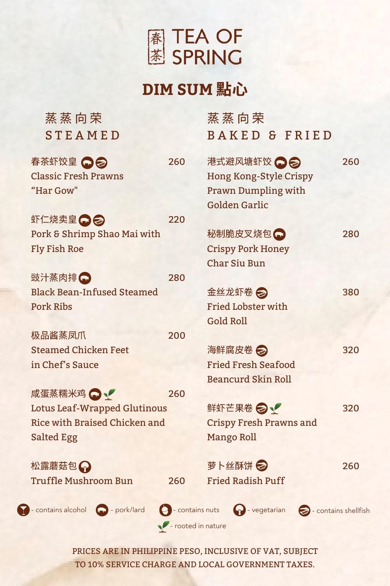

## **DIM SUM 點心**

| 蒸蒸向荣                                |                                | 蒸蒸向荣                                                           |  |                    |     |  |
|-------------------------------------|--------------------------------|----------------------------------------------------------------|--|--------------------|-----|--|
| <b>STEAMED</b>                      |                                | <b>BAKED &amp; FRIED</b>                                       |  |                    |     |  |
| 春茶虾饺皇 ○ ◎                           | 260                            | 港式避风塘虾饺 ● ●                                                    |  |                    | 260 |  |
| <b>Classic Fresh Prawns</b>         |                                | <b>Hong Kong-Style Crispy</b>                                  |  |                    |     |  |
| "Har Gow"                           |                                | <b>Prawn Dumpling with</b>                                     |  |                    |     |  |
|                                     |                                | <b>Golden Garlic</b>                                           |  |                    |     |  |
| 虾仁烧卖皇〇〇                             | 220                            |                                                                |  |                    |     |  |
| Pork & Shrimp Shao Mai with         |                                | 秘制脆皮叉烧包                                                        |  |                    | 280 |  |
| <b>Fly Fish Roe</b>                 |                                | <b>Crispy Pork Honey</b>                                       |  |                    |     |  |
|                                     |                                | <b>Char Siu Bun</b>                                            |  |                    |     |  |
| 豉汁蒸肉排△                              | 280                            |                                                                |  |                    |     |  |
| <b>Black Bean-Infused Steamed</b>   |                                | 金丝龙虾卷 2                                                        |  |                    | 380 |  |
| <b>Pork Ribs</b>                    |                                | <b>Fried Lobster with</b>                                      |  |                    |     |  |
|                                     |                                | <b>Gold Roll</b>                                               |  |                    |     |  |
| 极品酱蒸凤爪                              | 200                            |                                                                |  |                    |     |  |
| <b>Steamed Chicken Feet</b>         |                                | 海鲜腐皮卷 2                                                        |  |                    | 320 |  |
| in Chef's Sauce                     |                                | <b>Fried Fresh Seafood</b>                                     |  |                    |     |  |
|                                     |                                | <b>Beancurd Skin Roll</b>                                      |  |                    |     |  |
| 咸蛋蒸糯米鸡 △ √                          | 260                            |                                                                |  |                    |     |  |
| <b>Lotus Leaf-Wrapped Glutinous</b> | 鲜虾芒果卷 之                        |                                                                |  | 320                |     |  |
| Rice with Braised Chicken and       | <b>Crispy Fresh Prawns and</b> |                                                                |  |                    |     |  |
| Salted Egg                          |                                | <b>Mango Roll</b>                                              |  |                    |     |  |
| 松露蘑菇包A                              |                                | 萝卜丝酥饼 2                                                        |  |                    | 260 |  |
| <b>Truffle Mushroom Bun</b>         | 260                            | <b>Fried Radish Puff</b>                                       |  |                    |     |  |
|                                     |                                |                                                                |  |                    |     |  |
| - contains alcohol<br>pork/lard     | - contains nuts                | $\left(\begin{matrix} 0 \\ 1 \end{matrix}\right)$ - vegetarian |  | contains shellfish |     |  |
| The rooted in nature                |                                |                                                                |  |                    |     |  |
|                                     |                                |                                                                |  |                    |     |  |

PRICES ARE IN PHILIPPINE PESO, INCLUSIVE OF VAT, SUBJECT TO 10% SERVICE CHARGE AND LOCAL GOVERNMENT TAXES.